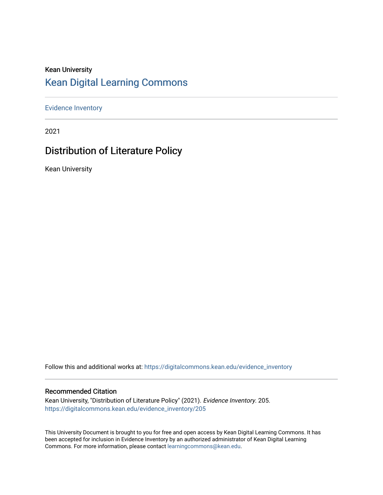# Kean University [Kean Digital Learning Commons](https://digitalcommons.kean.edu/)

[Evidence Inventory](https://digitalcommons.kean.edu/evidence_inventory) 

2021

# Distribution of Literature Policy

Kean University

Follow this and additional works at: [https://digitalcommons.kean.edu/evidence\\_inventory](https://digitalcommons.kean.edu/evidence_inventory?utm_source=digitalcommons.kean.edu%2Fevidence_inventory%2F205&utm_medium=PDF&utm_campaign=PDFCoverPages)

### Recommended Citation

Kean University, "Distribution of Literature Policy" (2021). Evidence Inventory. 205. [https://digitalcommons.kean.edu/evidence\\_inventory/205](https://digitalcommons.kean.edu/evidence_inventory/205?utm_source=digitalcommons.kean.edu%2Fevidence_inventory%2F205&utm_medium=PDF&utm_campaign=PDFCoverPages)

This University Document is brought to you for free and open access by Kean Digital Learning Commons. It has been accepted for inclusion in Evidence Inventory by an authorized administrator of Kean Digital Learning Commons. For more information, please contact [learningcommons@kean.edu.](mailto:learningcommons@kean.edu)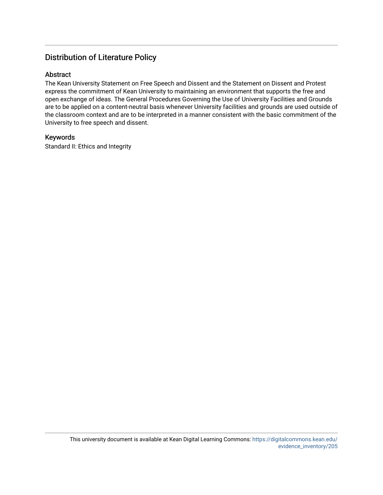### Distribution of Literature Policy

### Abstract

The Kean University Statement on Free Speech and Dissent and the Statement on Dissent and Protest express the commitment of Kean University to maintaining an environment that supports the free and open exchange of ideas. The General Procedures Governing the Use of University Facilities and Grounds are to be applied on a content-neutral basis whenever University facilities and grounds are used outside of the classroom context and are to be interpreted in a manner consistent with the basic commitment of the University to free speech and dissent.

### Keywords

Standard II: Ethics and Integrity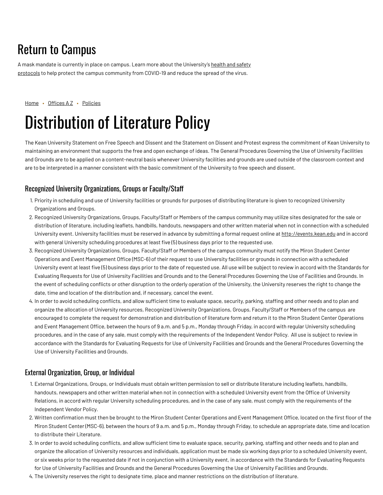# Return to Campus

A mask mandate is currently in place on campus. Learn more about the [University's](https://www.kean.edu/welcome-fall-2021-semester) health and safety protocols to help protect the campus community from COVID-19 and reduce the spread of the virus.

[Home](https://www.kean.edu/) • [Offices](https://www.kean.edu/offices) AZ • [Policies](https://www.kean.edu/offices/policies)

# Distribution of Literature Policy

The Kean University Statement on Free Speech and Dissent and the Statement on Dissent and Protest express the commitment of Kean University to maintaining an environment that supports the free and open exchange of ideas. The General Procedures Governing the Use of University Facilities and Grounds are to be applied on a content-neutral basis whenever University facilities and grounds are used outside of the classroom context and are to be interpreted in a manner consistent with the basic commitment of the University to free speech and dissent.

### Recognized University Organizations, Groups or Faculty/Staff

- 1. Priority in scheduling and use of University facilities or grounds for purposes of distributing literature is given to recognized University Organizations and Groups.
- 2. Recognized University Organizations, Groups, Faculty/Staff or Members of the campus community may utilize sites designated for the sale or distribution of literature, including leaflets, handbills, handouts, newspapers and other written material when not in connection with a scheduled University event. University facilities must be reserved in advance by submitting a formal request online at [http://events.kean.edu](http://events.kean.edu/) and in accord with general University scheduling procedures at least five (5) business days prior to the requested use.
- 3. Recognized University Organizations, Groups, Faculty/Staff or Members of the campus community must notify the Miron Student Center Operations and Event Management Office (MSC-6) of their request to use University facilities or grounds in connection with a scheduled University event at least five (5) business days prior to the date of requested use. All use will be subject to review in accord with the Standards for Evaluating Requests for Use of University Facilities and Grounds and to the General Procedures Governing the Use of Facilities and Grounds. In the event of scheduling conflicts or other disruption to the orderly operation of the University, the University reserves the right to change the date, time and location of the distribution and, if necessary, cancel the event.
- 4. In order to avoid scheduling conflicts, and allow sufficient time to evaluate space, security, parking, staffing and other needs and to plan and organize the allocation of University resources, Recognized University Organizations, Groups, Faculty/Staff or Members of the campus are encouraged to complete the request for demonstration and distribution of literature form and return it to the Miron Student Center Operations and Event Management Office, between the hours of 9 a.m. and 5 p.m., Monday through Friday, in accord with regular University scheduling procedures, and in the case of any sale, must comply with the requirements of the Independent Vendor Policy. All use is subject to review in accordance with the Standards for Evaluating Requests for Use of University Facilities and Grounds and the General Procedures Governing the Use of University Facilities and Grounds.

### External Organization, Group, or Individual

- 1. External Organizations, Groups, or Individuals must obtain written permission to sell or distribute literature including leaflets, handbills, handouts, newspapers and other written material when not in connection with a scheduled University event from the Office of University Relations, in accord with regular University scheduling procedures, and in the case of any sale, must comply with the requirements of the Independent Vendor Policy.
- 2. Written confirmation must then be brought to the Miron Student Center Operations and Event Management Office, located on the first floor of the Miron Student Center (MSC-6), between the hours of 9 a.m. and 5 p.m., Monday through Friday, to schedule an appropriate date, time and location to distribute their Literature.
- 3. In order to avoid scheduling conflicts, and allow sufficient time to evaluate space, security, parking, staffing and other needs and to plan and organize the allocation of University resources and individuals, application must be made six working days prior to a scheduled University event, or six weeks prior to the requested date if not in conjunction with a University event, in accordance with the Standards for Evaluating Requests for Use of University Facilities and Grounds and the General Procedures Governing the Use of University Facilities and Grounds.
- 4. The University reserves the right to designate time, place and manner restrictions on the distribution of literature.